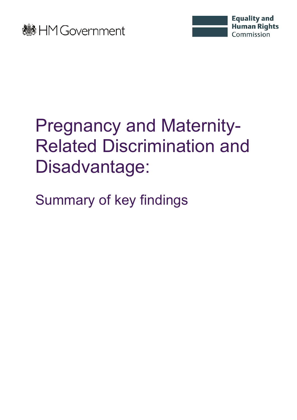



## Pregnancy and Maternity-Related Discrimination and Disadvantage:

Summary of key findings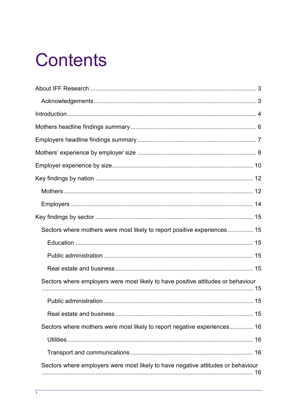## **Contents**

| Sectors where mothers were most likely to report positive experiences 15         |  |
|----------------------------------------------------------------------------------|--|
|                                                                                  |  |
|                                                                                  |  |
|                                                                                  |  |
| Sectors where employers were most likely to have positive attitudes or behaviour |  |
|                                                                                  |  |
|                                                                                  |  |
| Sectors where mothers were most likely to report negative experiences 16         |  |
|                                                                                  |  |
|                                                                                  |  |
| Sectors where employers were most likely to have negative attitudes or behaviour |  |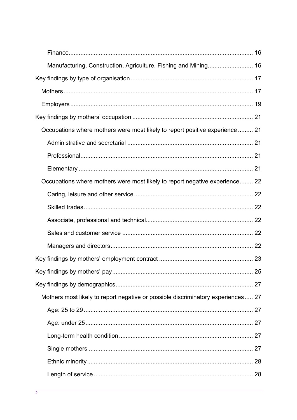| Occupations where mothers were most likely to report positive experience  21     |  |
|----------------------------------------------------------------------------------|--|
|                                                                                  |  |
|                                                                                  |  |
|                                                                                  |  |
| Occupations where mothers were most likely to report negative experience 22      |  |
|                                                                                  |  |
|                                                                                  |  |
|                                                                                  |  |
|                                                                                  |  |
|                                                                                  |  |
|                                                                                  |  |
|                                                                                  |  |
|                                                                                  |  |
| Mothers most likely to report negative or possible discriminatory experiences 27 |  |
|                                                                                  |  |
|                                                                                  |  |
|                                                                                  |  |
|                                                                                  |  |
|                                                                                  |  |
|                                                                                  |  |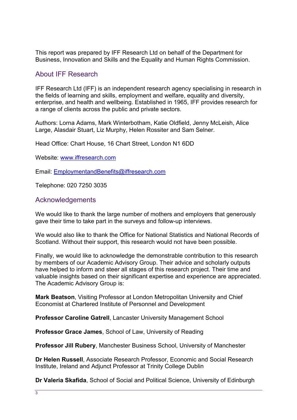This report was prepared by IFF Research Ltd on behalf of the Department for Business, Innovation and Skills and the Equality and Human Rights Commission.

### <span id="page-3-0"></span>About IFF Research

IFF Research Ltd (IFF) is an independent research agency specialising in research in the fields of learning and skills, employment and welfare, equality and diversity, enterprise, and health and wellbeing. Established in 1965, IFF provides research for a range of clients across the public and private sectors.

Authors: Lorna Adams, Mark Winterbotham, Katie Oldfield, Jenny McLeish, Alice Large, Alasdair Stuart, Liz Murphy, Helen Rossiter and Sam Selner.

Head Office: Chart House, 16 Chart Street, London N1 6DD

Website: [www.iffresearch.com](http://www.iffresearch.com/) 

Email: [EmploymentandBenefits@iffresearch.com](mailto:EmploymentandBenefits@iffresearch.com) 

Telephone: 020 7250 3035

#### <span id="page-3-1"></span>Acknowledgements

We would like to thank the large number of mothers and employers that generously gave their time to take part in the surveys and follow-up interviews.

We would also like to thank the Office for National Statistics and National Records of Scotland. Without their support, this research would not have been possible.

Finally, we would like to acknowledge the demonstrable contribution to this research by members of our Academic Advisory Group. Their advice and scholarly outputs have helped to inform and steer all stages of this research project. Their time and valuable insights based on their significant expertise and experience are appreciated. The Academic Advisory Group is:

**Mark Beatson**, Visiting Professor at London Metropolitan University and Chief Economist at Chartered Institute of Personnel and Development

**Professor Caroline Gatrell**, Lancaster University Management School

**Professor Grace James**, School of Law, University of Reading

**Professor Jill Rubery**, Manchester Business School, University of Manchester

**Dr Helen Russell**, Associate Research Professor, Economic and Social Research Institute, Ireland and Adjunct Professor at Trinity College Dublin

**Dr Valeria Skafida**, School of Social and Political Science, University of Edinburgh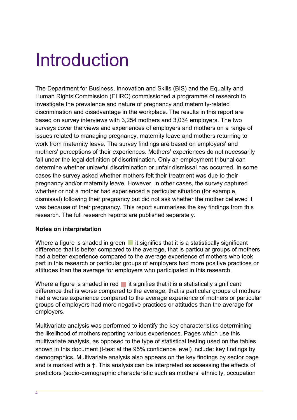### <span id="page-4-0"></span>Introduction

The Department for Business, Innovation and Skills (BIS) and the Equality and Human Rights Commission (EHRC) commissioned a programme of research to investigate the prevalence and nature of pregnancy and maternity-related discrimination and disadvantage in the workplace. The results in this report are based on survey interviews with 3,254 mothers and 3,034 employers. The two surveys cover the views and experiences of employers and mothers on a range of issues related to managing pregnancy, maternity leave and mothers returning to work from maternity leave. The survey findings are based on employers' and mothers' perceptions of their experiences. Mothers' experiences do not necessarily fall under the legal definition of discrimination. Only an employment tribunal can determine whether unlawful discrimination or unfair dismissal has occurred. In some cases the survey asked whether mothers felt their treatment was due to their pregnancy and/or maternity leave. However, in other cases, the survey captured whether or not a mother had experienced a particular situation (for example, dismissal) following their pregnancy but did not ask whether the mother believed it was because of their pregnancy. This report summarises the key findings from this research. The full research reports are published separately.

#### **Notes on interpretation**

Where a figure is shaded in green  $\blacksquare$  it signifies that it is a statistically significant difference that is better compared to the average, that is particular groups of mothers had a better experience compared to the average experience of mothers who took part in this research or particular groups of employers had more positive practices or attitudes than the average for employers who participated in this research.

Where a figure is shaded in red  $\blacksquare$  it signifies that it is a statistically significant difference that is worse compared to the average, that is particular groups of mothers had a worse experience compared to the average experience of mothers or particular groups of employers had more negative practices or attitudes than the average for employers.

Multivariate analysis was performed to identify the key characteristics determining the likelihood of mothers reporting various experiences. Pages which use this multivariate analysis, as opposed to the type of statistical testing used on the tables shown in this document (t-test at the 95% confidence level) include: key findings by demographics. Multivariate analysis also appears on the key findings by sector page and is marked with a †. This analysis can be interpreted as assessing the effects of predictors (socio-demographic characteristic such as mothers' ethnicity, occupation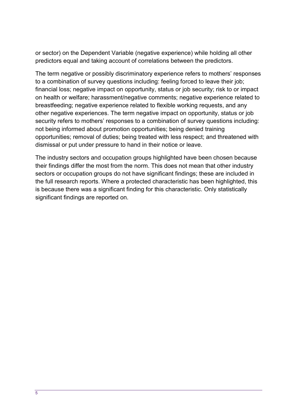or sector) on the Dependent Variable (negative experience) while holding all other predictors equal and taking account of correlations between the predictors.

The term negative or possibly discriminatory experience refers to mothers' responses to a combination of survey questions including: feeling forced to leave their job; financial loss; negative impact on opportunity, status or job security; risk to or impact on health or welfare; harassment/negative comments; negative experience related to breastfeeding; negative experience related to flexible working requests, and any other negative experiences. The term negative impact on opportunity, status or job security refers to mothers' responses to a combination of survey questions including: not being informed about promotion opportunities; being denied training opportunities; removal of duties; being treated with less respect; and threatened with dismissal or put under pressure to hand in their notice or leave.

The industry sectors and occupation groups highlighted have been chosen because their findings differ the most from the norm. This does not mean that other industry sectors or occupation groups do not have significant findings; these are included in the full research reports. Where a protected characteristic has been highlighted, this is because there was a significant finding for this characteristic. Only statistically significant findings are reported on.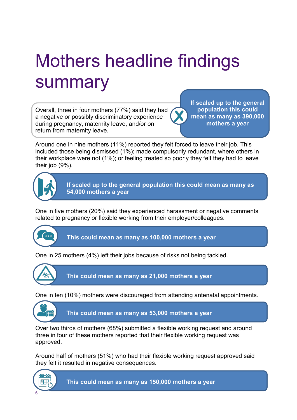## <span id="page-6-0"></span>Mothers headline findings summary

Overall, three in four mothers (77%) said they had a negative or possibly discriminatory experience during pregnancy, maternity leave, and/or on return from maternity leave.

**If scaled up to the general population this could mean as many as 390,000 mothers a ye**ar

Around one in nine mothers (11%) reported they felt forced to leave their job. This included those being dismissed (1%); made compulsorily redundant, where others in their workplace were not (1%); or feeling treated so poorly they felt they had to leave their job (9%).



**If scaled up to the general population this could mean as many as 54,000 mothers a year**

One in five mothers (20%) said they experienced harassment or negative comments related to pregnancy or flexible working from their employer/colleagues.



**This could mean as many as 100,000 mothers a year**

One in 25 mothers (4%) left their jobs because of risks not being tackled.



**This could mean as many as 21,000 mothers a year**

One in ten (10%) mothers were discouraged from attending antenatal appointments.



**This could mean as many as 53,000 mothers a year**

Over two thirds of mothers (68%) submitted a flexible working request and around three in four of these mothers reported that their flexible working request was approved.

Around half of mothers (51%) who had their flexible working request approved said they felt it resulted in negative consequences.



**This could mean as many as 150,000 mothers a year**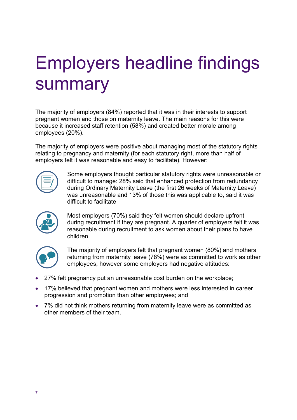## <span id="page-7-0"></span>Employers headline findings summary

The majority of employers (84%) reported that it was in their interests to support pregnant women and those on maternity leave. The main reasons for this were because it increased staff retention (58%) and created better morale among employees (20%).

The majority of employers were positive about managing most of the statutory rights relating to pregnancy and maternity (for each statutory right, more than half of employers felt it was reasonable and easy to facilitate). However:



Some employers thought particular statutory rights were unreasonable or difficult to manage: 28% said that enhanced protection from redundancy during Ordinary Maternity Leave (the first 26 weeks of Maternity Leave) was unreasonable and 13% of those this was applicable to, said it was difficult to facilitate



Most employers (70%) said they felt women should declare upfront during recruitment if they are pregnant. A quarter of employers felt it was reasonable during recruitment to ask women about their plans to have children.



The majority of employers felt that pregnant women (80%) and mothers returning from maternity leave (78%) were as committed to work as other employees; however some employers had negative attitudes:

- 27% felt pregnancy put an unreasonable cost burden on the workplace;
- 17% believed that pregnant women and mothers were less interested in career progression and promotion than other employees; and
- 7% did not think mothers returning from maternity leave were as committed as other members of their team.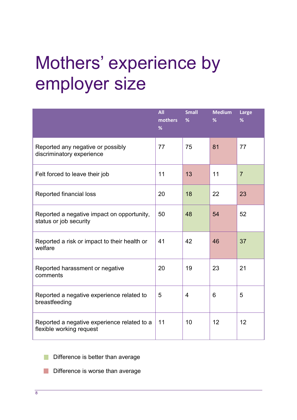## <span id="page-8-0"></span>Mothers' experience by employer size

|                                                                         | <b>All</b><br>mothers<br>% | <b>Small</b><br>% | <b>Medium</b><br>% | Large<br>%     |
|-------------------------------------------------------------------------|----------------------------|-------------------|--------------------|----------------|
| Reported any negative or possibly<br>discriminatory experience          | 77                         | 75                | 81                 | 77             |
| Felt forced to leave their job                                          | 11                         | 13                | 11                 | $\overline{7}$ |
| Reported financial loss                                                 | 20                         | 18                | 22                 | 23             |
| Reported a negative impact on opportunity,<br>status or job security    | 50                         | 48                | 54                 | 52             |
| Reported a risk or impact to their health or<br>welfare                 | 41                         | 42                | 46                 | 37             |
| Reported harassment or negative<br>comments                             | 20                         | 19                | 23                 | 21             |
| Reported a negative experience related to<br>breastfeeding              | 5                          | $\overline{4}$    | 6                  | 5              |
| Reported a negative experience related to a<br>flexible working request | 11                         | 10                | 12                 | 12             |

Difference is better than average  $\mathbb{R}^n$ 

Difference is worse than average  $\mathbb{R}^n$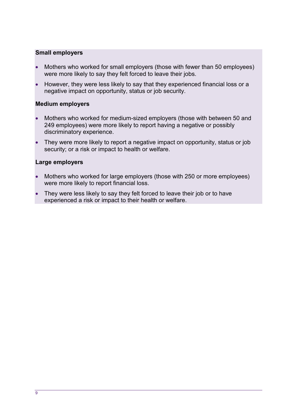#### **Small employers**

- Mothers who worked for small employers (those with fewer than 50 employees) were more likely to say they felt forced to leave their jobs.
- However, they were less likely to say that they experienced financial loss or a negative impact on opportunity, status or job security.

#### **Medium employers**

- Mothers who worked for medium-sized employers (those with between 50 and 249 employees) were more likely to report having a negative or possibly discriminatory experience.
- They were more likely to report a negative impact on opportunity, status or job security; or a risk or impact to health or welfare.

#### **Large employers**

- Mothers who worked for large employers (those with 250 or more employees) were more likely to report financial loss.
- They were less likely to say they felt forced to leave their job or to have experienced a risk or impact to their health or welfare.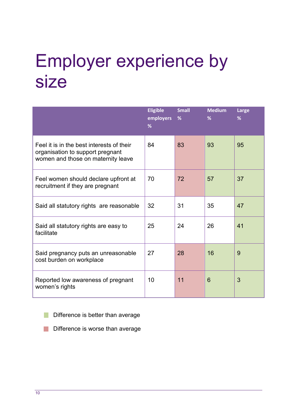## <span id="page-10-0"></span>Employer experience by size

|                                                                                                                     | <b>Eligible</b><br>employers<br>% | <b>Small</b><br>% | <b>Medium</b><br>% | Large<br>% |
|---------------------------------------------------------------------------------------------------------------------|-----------------------------------|-------------------|--------------------|------------|
| Feel it is in the best interests of their<br>organisation to support pregnant<br>women and those on maternity leave | 84                                | 83                | 93                 | 95         |
| Feel women should declare upfront at<br>recruitment if they are pregnant                                            | 70                                | 72                | 57                 | 37         |
| Said all statutory rights are reasonable                                                                            | 32                                | 31                | 35                 | 47         |
| Said all statutory rights are easy to<br>facilitate                                                                 | 25                                | 24                | 26                 | 41         |
| Said pregnancy puts an unreasonable<br>cost burden on workplace                                                     | 27                                | 28                | 16                 | 9          |
| Reported low awareness of pregnant<br>women's rights                                                                | 10                                | 11                | 6                  | 3          |

Difference is better than average T.

Difference is worse than average T.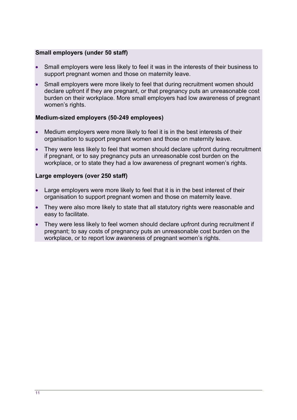#### **Small employers (under 50 staff)**

- Small employers were less likely to feel it was in the interests of their business to support pregnant women and those on maternity leave.
- Small employers were more likely to feel that during recruitment women should declare upfront if they are pregnant, or that pregnancy puts an unreasonable cost burden on their workplace. More small employers had low awareness of pregnant women's rights.

#### **Medium-sized employers (50-249 employees)**

- Medium employers were more likely to feel it is in the best interests of their organisation to support pregnant women and those on maternity leave.
- They were less likely to feel that women should declare upfront during recruitment if pregnant, or to say pregnancy puts an unreasonable cost burden on the workplace, or to state they had a low awareness of pregnant women's rights.

#### **Large employers (over 250 staff)**

- Large employers were more likely to feel that it is in the best interest of their organisation to support pregnant women and those on maternity leave.
- They were also more likely to state that all statutory rights were reasonable and easy to facilitate.
- They were less likely to feel women should declare upfront during recruitment if pregnant; to say costs of pregnancy puts an unreasonable cost burden on the workplace, or to report low awareness of pregnant women's rights.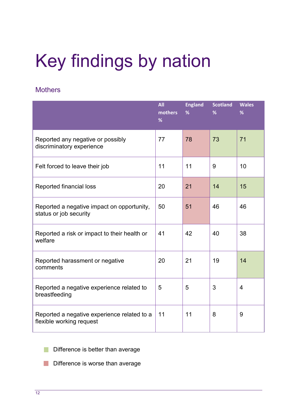# <span id="page-12-0"></span>Key findings by nation

### <span id="page-12-1"></span>**Mothers**

|                                                                         | <b>All</b><br>mothers<br>% | <b>England</b><br>% | <b>Scotland</b><br>% | <b>Wales</b><br>% |
|-------------------------------------------------------------------------|----------------------------|---------------------|----------------------|-------------------|
| Reported any negative or possibly<br>discriminatory experience          | 77                         | 78                  | 73                   | 71                |
| Felt forced to leave their job                                          | 11                         | 11                  | 9                    | 10                |
| Reported financial loss                                                 | 20                         | 21                  | 14                   | 15                |
| Reported a negative impact on opportunity,<br>status or job security    | 50                         | 51                  | 46                   | 46                |
| Reported a risk or impact to their health or<br>welfare                 | 41                         | 42                  | 40                   | 38                |
| Reported harassment or negative<br>comments                             | 20                         | 21                  | 19                   | 14                |
| Reported a negative experience related to<br>breastfeeding              | 5                          | 5                   | 3                    | $\overline{4}$    |
| Reported a negative experience related to a<br>flexible working request | 11                         | 11                  | 8                    | 9                 |

- Difference is better than average
- Difference is worse than average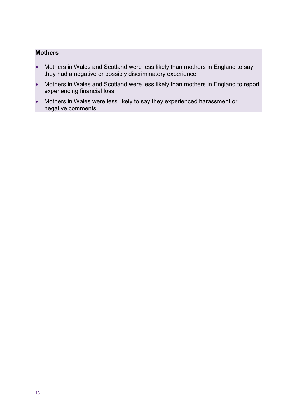#### **Mothers**

- Mothers in Wales and Scotland were less likely than mothers in England to say they had a negative or possibly discriminatory experience
- Mothers in Wales and Scotland were less likely than mothers in England to report experiencing financial loss
- Mothers in Wales were less likely to say they experienced harassment or negative comments.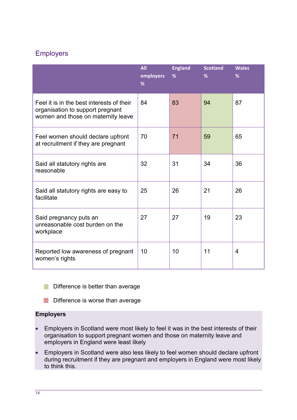### <span id="page-14-0"></span>**Employers**

|                                                                                                                     | <b>All</b><br>employers<br>% | <b>England</b><br>% | <b>Scotland</b><br>% | <b>Wales</b><br>% |
|---------------------------------------------------------------------------------------------------------------------|------------------------------|---------------------|----------------------|-------------------|
| Feel it is in the best interests of their<br>organisation to support pregnant<br>women and those on maternity leave | 84                           | 83                  | 94                   | 87                |
| Feel women should declare upfront<br>at recruitment if they are pregnant                                            | 70                           | 71                  | 59                   | 65                |
| Said all statutory rights are<br>reasonable                                                                         | 32                           | 31                  | 34                   | 36                |
| Said all statutory rights are easy to<br>facilitate                                                                 | 25                           | 26                  | 21                   | 26                |
| Said pregnancy puts an<br>unreasonable cost burden on the<br>workplace                                              | 27                           | 27                  | 19                   | 23                |
| Reported low awareness of pregnant<br>women's rights                                                                | 10                           | 10                  | 11                   | $\overline{4}$    |

Difference is better than average

#### **Employers**

- Employers in Scotland were most likely to feel it was in the best interests of their organisation to support pregnant women and those on maternity leave and employers in England were least likely
- Employers in Scotland were also less likely to feel women should declare upfront during recruitment if they are pregnant and employers in England were most likely to think this.

Difference is worse than average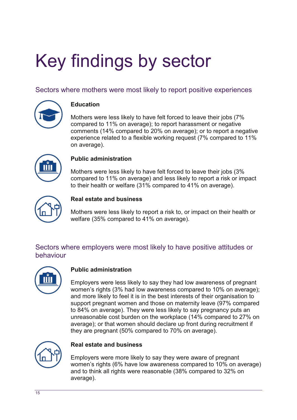# <span id="page-15-0"></span>Key findings by sector

### <span id="page-15-1"></span>Sectors where mothers were most likely to report positive experiences

<span id="page-15-2"></span>

#### **Education**

Mothers were less likely to have felt forced to leave their jobs (7% compared to 11% on average); to report harassment or negative comments (14% compared to 20% on average); or to report a negative experience related to a flexible working request (7% compared to 11% on average).

<span id="page-15-3"></span>

#### **Public administration**

Mothers were less likely to have felt forced to leave their jobs (3%) compared to 11% on average) and less likely to report a risk or impact to their health or welfare (31% compared to 41% on average).

<span id="page-15-4"></span>

#### **Real estate and business**

Mothers were less likely to report a risk to, or impact on their health or welfare (35% compared to 41% on average).

### <span id="page-15-5"></span>Sectors where employers were most likely to have positive attitudes or behaviour

<span id="page-15-6"></span>

#### **Public administration**

Employers were less likely to say they had low awareness of pregnant women's rights (3% had low awareness compared to 10% on average); and more likely to feel it is in the best interests of their organisation to support pregnant women and those on maternity leave (97% compared to 84% on average). They were less likely to say pregnancy puts an unreasonable cost burden on the workplace (14% compared to 27% on average); or that women should declare up front during recruitment if they are pregnant (50% compared to 70% on average).

<span id="page-15-7"></span>

#### **Real estate and business**

Employers were more likely to say they were aware of pregnant women's rights (6% have low awareness compared to 10% on average) and to think all rights were reasonable (38% compared to 32% on average).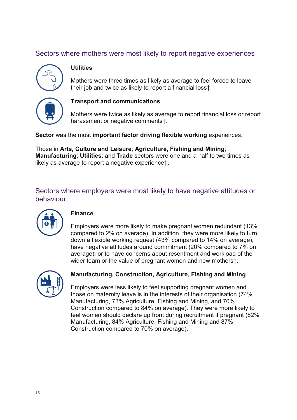### <span id="page-16-0"></span>Sectors where mothers were most likely to report negative experiences

<span id="page-16-1"></span>

#### **Utilities**

Mothers were three times as likely as average to feel forced to leave their job and twice as likely to report a financial loss†.

<span id="page-16-2"></span>

#### **Transport and communications**

Mothers were twice as likely as average to report financial loss or report harassment or negative commentst.

Sector was the most important factor driving flexible working experiences.

Those in Arts, Culture and Leisure; Agriculture, Fishing and Mining; Manufacturing; Utilities; and Trade sectors were one and a half to two times as likely as average to report a negative experiencet.

<span id="page-16-3"></span>Sectors where employers were most likely to have negative attitudes or hehaviour

<span id="page-16-4"></span>

#### **Finance**

Employers were more likely to make pregnant women redundant (13% compared to 2% on average). In addition, they were more likely to turn down a flexible working request (43% compared to 14% on average), have negative attitudes around commitment (20% compared to 7% on average), or to have concerns about resentment and workload of the wider team or the value of pregnant women and new motherst.

<span id="page-16-5"></span>

#### Manufacturing, Construction, Agriculture, Fishing and Mining

Employers were less likely to feel supporting pregnant women and those on maternity leave is in the interests of their organisation (74% Manufacturing, 73% Agriculture, Fishing and Mining, and 70% Construction compared to 84% on average). They were more likely to feel women should declare up front during recruitment if pregnant (82%) Manufacturing, 84% Agriculture, Fishing and Mining and 87% Construction compared to 70% on average).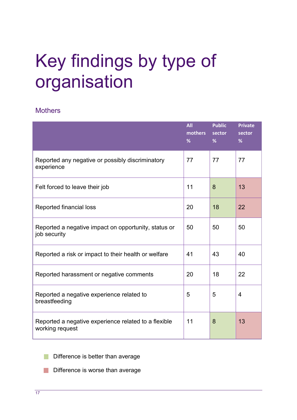## <span id="page-17-0"></span>Key findings by type of organisation

#### <span id="page-17-1"></span>**Mothers**

|                                                                         | <b>All</b><br>mothers<br>% | <b>Public</b><br>sector<br>% | <b>Private</b><br>sector<br>% |
|-------------------------------------------------------------------------|----------------------------|------------------------------|-------------------------------|
| Reported any negative or possibly discriminatory<br>experience          | 77                         | 77                           | 77                            |
| Felt forced to leave their job                                          | 11                         | 8                            | 13                            |
| Reported financial loss                                                 | 20                         | 18                           | 22                            |
| Reported a negative impact on opportunity, status or<br>job security    | 50                         | 50                           | 50                            |
| Reported a risk or impact to their health or welfare                    | 41                         | 43                           | 40                            |
| Reported harassment or negative comments                                | 20                         | 18                           | 22                            |
| Reported a negative experience related to<br>breastfeeding              | 5                          | 5                            | $\overline{4}$                |
| Reported a negative experience related to a flexible<br>working request | 11                         | 8                            | 13                            |

Difference is better than average F.

Difference is worse than average  $\mathbb{R}^n$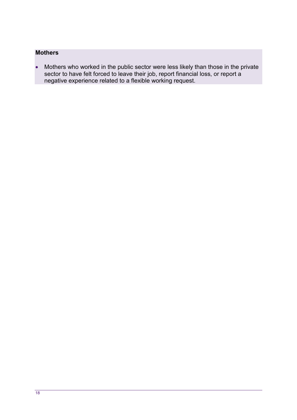### **Mothers**

<span id="page-18-0"></span>• Mothers who worked in the public sector were less likely than those in the private sector to have felt forced to leave their job, report financial loss, or report a negative experience related to a flexible working request.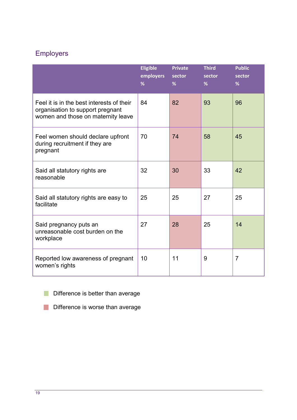### Employers

|                                                                                                                     | <b>Eligible</b><br>employers<br>% | <b>Private</b><br>sector<br>% | <b>Third</b><br>sector<br>% | <b>Public</b><br>sector<br>% |
|---------------------------------------------------------------------------------------------------------------------|-----------------------------------|-------------------------------|-----------------------------|------------------------------|
| Feel it is in the best interests of their<br>organisation to support pregnant<br>women and those on maternity leave | 84                                | 82                            | 93                          | 96                           |
| Feel women should declare upfront<br>during recruitment if they are<br>pregnant                                     | 70                                | 74                            | 58                          | 45                           |
| Said all statutory rights are<br>reasonable                                                                         | 32                                | 30                            | 33                          | 42                           |
| Said all statutory rights are easy to<br>facilitate                                                                 | 25                                | 25                            | 27                          | 25                           |
| Said pregnancy puts an<br>unreasonable cost burden on the<br>workplace                                              | 27                                | 28                            | 25                          | 14                           |
| Reported low awareness of pregnant<br>women's rights                                                                | 10                                | 11                            | 9                           | $\overline{7}$               |

Difference is better than average

**Difference is worse than average**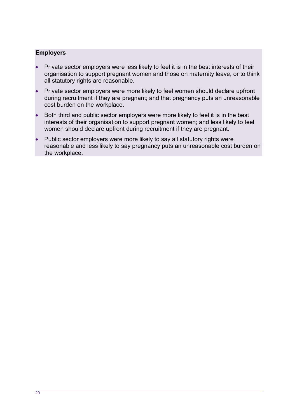#### **Employers**

- Private sector employers were less likely to feel it is in the best interests of their organisation to support pregnant women and those on maternity leave, or to think all statutory rights are reasonable.
- Private sector employers were more likely to feel women should declare upfront during recruitment if they are pregnant; and that pregnancy puts an unreasonable cost burden on the workplace.
- Both third and public sector employers were more likely to feel it is in the best interests of their organisation to support pregnant women; and less likely to feel women should declare upfront during recruitment if they are pregnant.
- Public sector employers were more likely to say all statutory rights were reasonable and less likely to say pregnancy puts an unreasonable cost burden on the workplace.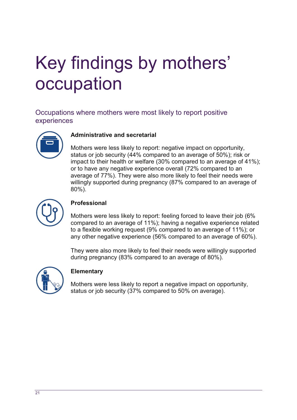## <span id="page-21-0"></span>Key findings by mothers' occupation

<span id="page-21-1"></span>Occupations where mothers were most likely to report positive experiences

<span id="page-21-2"></span>

#### **Administrative and secretarial**

Mothers were less likely to report: negative impact on opportunity. status or job security (44% compared to an average of 50%); risk or impact to their health or welfare (30% compared to an average of 41%); or to have any negative experience overall (72% compared to an average of 77%). They were also more likely to feel their needs were willingly supported during pregnancy (87% compared to an average of  $80\%$ ).

<span id="page-21-3"></span>

#### Professional

Mothers were less likely to report: feeling forced to leave their job (6% compared to an average of 11%); having a negative experience related to a flexible working request (9% compared to an average of 11%); or any other negative experience (56% compared to an average of 60%).

They were also more likely to feel their needs were willingly supported during pregnancy (83% compared to an average of 80%).

<span id="page-21-4"></span>

#### **Elementary**

Mothers were less likely to report a negative impact on opportunity. status or job security (37% compared to 50% on average).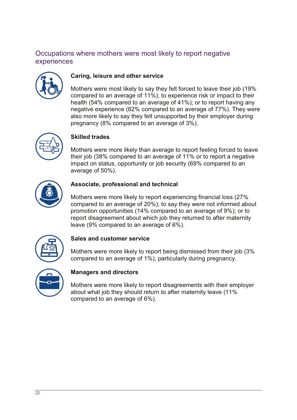### <span id="page-22-0"></span>Occupations where mothers were most likely to report negative experiences

<span id="page-22-1"></span>

#### Caring, leisure and other service

Mothers were most likely to say they felt forced to leave their job (19%) compared to an average of 11%); to experience risk or impact to their health (54% compared to an average of 41%); or to report having any negative experience (82% compared to an average of 77%). They were also more likely to say they felt unsupported by their employer during pregnancy (8% compared to an average of 3%).

<span id="page-22-2"></span>

#### **Skilled trades**

Mothers were more likely than average to report feeling forced to leave their job (38% compared to an average of 11% or to report a negative impact on status, opportunity or job security (69% compared to an average of 50%).

<span id="page-22-3"></span>

#### Associate, professional and technical

Mothers were more likely to report experiencing financial loss (27%) compared to an average of 20%); to say they were not informed about promotion opportunities (14% compared to an average of 9%); or to report disagreement about which job they returned to after maternity leave (9% compared to an average of 6%).

<span id="page-22-4"></span>

#### Sales and customer service

Mothers were more likely to report being dismissed from their job (3%) compared to an average of 1%), particularly during pregnancy.

<span id="page-22-5"></span>

#### **Managers and directors**

Mothers were more likely to report disagreements with their employer about what job they should return to after maternity leave (11% compared to an average of 6%).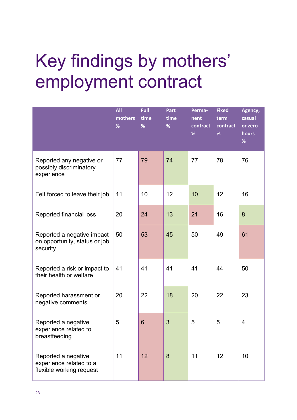## <span id="page-23-0"></span>Key findings by mothers' employment contract

|                                                                            | <b>All</b><br>mothers<br>% | <b>Full</b><br>time<br>% | Part<br>time<br>% | Perma-<br>nent<br>contract<br>% | <b>Fixed</b><br>term<br>contract<br>% | Agency,<br>casual<br>or zero<br>hours<br>$\%$ |
|----------------------------------------------------------------------------|----------------------------|--------------------------|-------------------|---------------------------------|---------------------------------------|-----------------------------------------------|
| Reported any negative or<br>possibly discriminatory<br>experience          | 77                         | 79                       | 74                | 77                              | 78                                    | 76                                            |
| Felt forced to leave their job                                             | 11                         | 10                       | 12                | 10                              | 12                                    | 16                                            |
| Reported financial loss                                                    | 20                         | 24                       | 13                | 21                              | 16                                    | 8                                             |
| Reported a negative impact<br>on opportunity, status or job<br>security    | 50                         | 53                       | 45                | 50                              | 49                                    | 61                                            |
| Reported a risk or impact to<br>their health or welfare                    | 41                         | 41                       | 41                | 41                              | 44                                    | 50                                            |
| Reported harassment or<br>negative comments                                | 20                         | 22                       | 18                | 20                              | 22                                    | 23                                            |
| Reported a negative<br>experience related to<br>breastfeeding              | 5                          | 6                        | 3                 | 5                               | 5                                     | 4                                             |
| Reported a negative<br>experience related to a<br>flexible working request | 11                         | 12                       | 8                 | 11                              | 12                                    | 10                                            |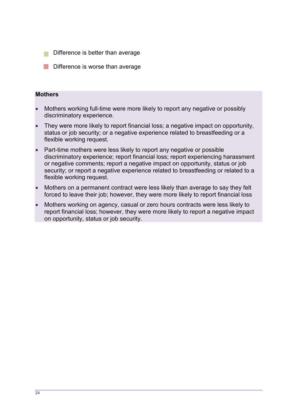- Difference is better than average
- **Difference is worse than average**

#### **Mothers**

- Mothers working full-time were more likely to report any negative or possibly discriminatory experience.
- They were more likely to report financial loss; a negative impact on opportunity, status or job security; or a negative experience related to breastfeeding or a flexible working request.
- Part-time mothers were less likely to report any negative or possible discriminatory experience; report financial loss; report experiencing harassment or negative comments; report a negative impact on opportunity, status or job security; or report a negative experience related to breastfeeding or related to a flexible working request.
- Mothers on a permanent contract were less likely than average to say they felt forced to leave their job; however, they were more likely to report financial loss
- Mothers working on agency, casual or zero hours contracts were less likely to report financial loss; however, they were more likely to report a negative impact on opportunity, status or job security.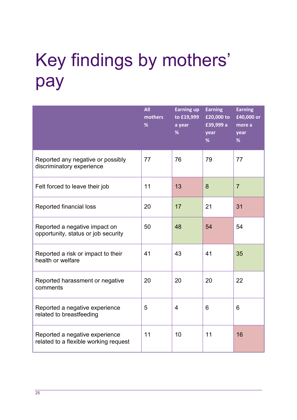## <span id="page-25-0"></span>Key findings by mothers' pay

|                                                                         | <b>All</b><br>mothers<br>% | <b>Earning up</b><br>to £19,999<br>a year<br>% | <b>Earning</b><br>£20,000 to<br>£39,999 a<br>year<br>% | <b>Earning</b><br>£40,000 or<br>more a<br>year<br>% |
|-------------------------------------------------------------------------|----------------------------|------------------------------------------------|--------------------------------------------------------|-----------------------------------------------------|
| Reported any negative or possibly<br>discriminatory experience          | 77                         | 76                                             | 79                                                     | 77                                                  |
| Felt forced to leave their job                                          | 11                         | 13                                             | 8                                                      | $\overline{7}$                                      |
| Reported financial loss                                                 | 20                         | 17                                             | 21                                                     | 31                                                  |
| Reported a negative impact on<br>opportunity, status or job security    | 50                         | 48                                             | 54                                                     | 54                                                  |
| Reported a risk or impact to their<br>health or welfare                 | 41                         | 43                                             | 41                                                     | 35                                                  |
| Reported harassment or negative<br>comments                             | 20                         | 20                                             | 20                                                     | 22                                                  |
| Reported a negative experience<br>related to breastfeeding              | 5                          | $\overline{4}$                                 | 6                                                      | 6                                                   |
| Reported a negative experience<br>related to a flexible working request | 11                         | 10                                             | 11                                                     | 16                                                  |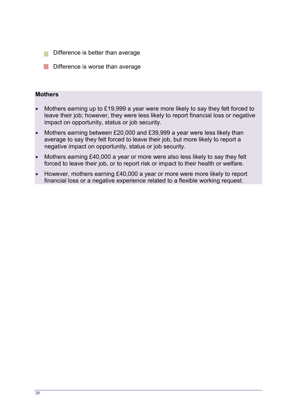- Difference is better than average
- Difference is worse than average

#### **Mothers**

- Mothers earning up to £19,999 a year were more likely to say they felt forced to leave their job; however, they were less likely to report financial loss or negative impact on opportunity, status or job security.
- Mothers earning between £20,000 and £39,999 a year were less likely than average to say they felt forced to leave their job, but more likely to report a negative impact on opportunity, status or job security.
- Mothers earning £40,000 a year or more were also less likely to say they felt forced to leave their job, or to report risk or impact to their health or welfare.
- However, mothers earning £40,000 a year or more were more likely to report financial loss or a negative experience related to a flexible working request.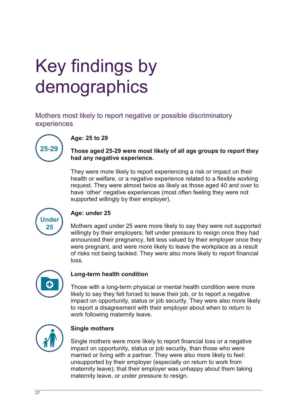## <span id="page-27-0"></span>Key findings by demographics

<span id="page-27-1"></span>Mothers most likely to report negative or possible discriminatory experiences

<span id="page-27-2"></span>

#### Age: 25 to 29

Those aged 25-29 were most likely of all age groups to report they had any negative experience.

They were more likely to report experiencing a risk or impact on their health or welfare, or a negative experience related to a flexible working request. They were almost twice as likely as those aged 40 and over to have 'other' negative experiences (most often feeling they were not supported willingly by their employer).

<span id="page-27-3"></span>

#### Age: under 25

Mothers aged under 25 were more likely to say they were not supported willingly by their employers; felt under pressure to resign once they had announced their pregnancy, felt less valued by their employer once they were pregnant, and were more likely to leave the workplace as a result of risks not being tackled. They were also more likely to report financial loss.

<span id="page-27-4"></span>

#### Long-term health condition

Those with a long-term physical or mental health condition were more likely to say they felt forced to leave their job, or to report a negative impact on opportunity, status or job security. They were also more likely to report a disagreement with their employer about when to return to work following maternity leave.

<span id="page-27-5"></span>

#### **Single mothers**

Single mothers were more likely to report financial loss or a negative impact on opportunity, status or job security, than those who were married or living with a partner. They were also more likely to feel: unsupported by their employer (especially on return to work from maternity leave); that their employer was unhappy about them taking maternity leave, or under pressure to resign.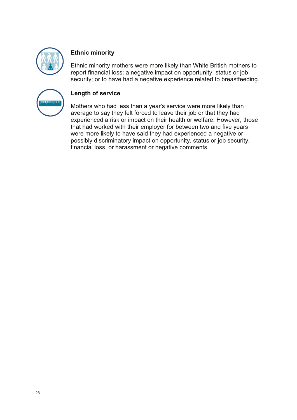<span id="page-28-0"></span>

#### **Ethnic minority**

Ethnic minority mothers were more likely than White British mothers to report financial loss; a negative impact on opportunity, status or job security; or to have had a negative experience related to breastfeeding.

<span id="page-28-1"></span>

#### Length of service

Mothers who had less than a year's service were more likely than average to say they felt forced to leave their job or that they had experienced a risk or impact on their health or welfare. However, those that had worked with their employer for between two and five years were more likely to have said they had experienced a negative or possibly discriminatory impact on opportunity, status or job security, financial loss, or harassment or negative comments.